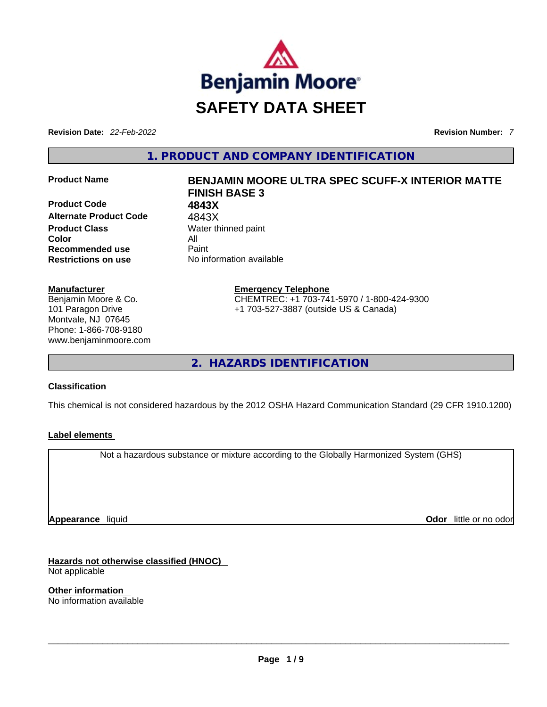

**Revision Date:** *22-Feb-2022* **Revision Number:** *7*

**1. PRODUCT AND COMPANY IDENTIFICATION** 

**Product Code 4843X Alternate Product Code** 4843X **Product Class Water thinned paint Color** All **Recommended use Paint Restrictions on use** No information available

#### **Manufacturer**

Benjamin Moore & Co. 101 Paragon Drive Montvale, NJ 07645 Phone: 1-866-708-9180 www.benjaminmoore.com

# **Product Name BENJAMIN MOORE ULTRA SPEC SCUFF-X INTERIOR MATTE FINISH BASE 3**

**Emergency Telephone** CHEMTREC: +1 703-741-5970 / 1-800-424-9300 +1 703-527-3887 (outside US & Canada)

**2. HAZARDS IDENTIFICATION** 

#### **Classification**

This chemical is not considered hazardous by the 2012 OSHA Hazard Communication Standard (29 CFR 1910.1200)

#### **Label elements**

Not a hazardous substance or mixture according to the Globally Harmonized System (GHS)

**Appearance** liquid

**Odor** little or no odor

**Hazards not otherwise classified (HNOC)**  Not applicable

**Other information**  No information available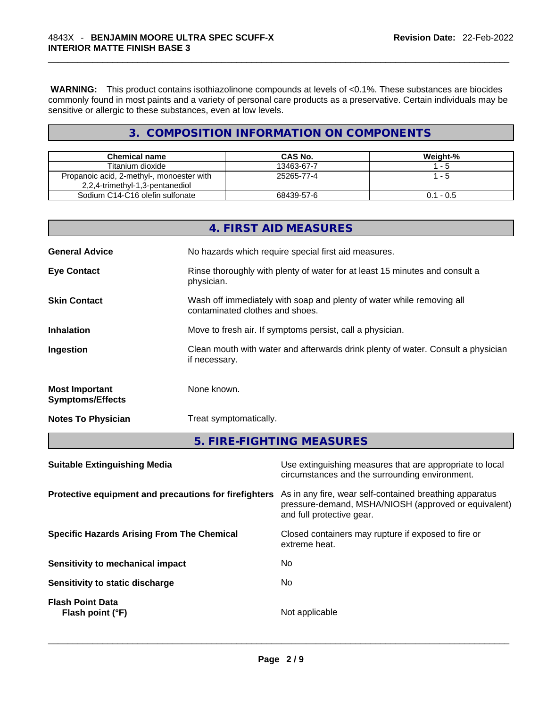**WARNING:** This product contains isothiazolinone compounds at levels of <0.1%. These substances are biocides commonly found in most paints and a variety of personal care products as a preservative. Certain individuals may be sensitive or allergic to these substances, even at low levels.

# **3. COMPOSITION INFORMATION ON COMPONENTS**

| <b>Chemical name</b>                                                         | CAS No.    | Weight-%    |
|------------------------------------------------------------------------------|------------|-------------|
| Titanium dioxide                                                             | 13463-67-7 | - 5         |
| Propanoic acid, 2-methyl-, monoester with<br>2,2,4-trimethyl-1,3-pentanediol | 25265-77-4 | l - 5       |
| Sodium C14-C16 olefin sulfonate                                              | 68439-57-6 | $0.1 - 0.5$ |

|                                                  | 4. FIRST AID MEASURES                                                                                    |
|--------------------------------------------------|----------------------------------------------------------------------------------------------------------|
| <b>General Advice</b>                            | No hazards which require special first aid measures.                                                     |
| <b>Eye Contact</b>                               | Rinse thoroughly with plenty of water for at least 15 minutes and consult a<br>physician.                |
| <b>Skin Contact</b>                              | Wash off immediately with soap and plenty of water while removing all<br>contaminated clothes and shoes. |
| <b>Inhalation</b>                                | Move to fresh air. If symptoms persist, call a physician.                                                |
| Ingestion                                        | Clean mouth with water and afterwards drink plenty of water. Consult a physician<br>if necessary.        |
| <b>Most Important</b><br><b>Symptoms/Effects</b> | None known.                                                                                              |
| <b>Notes To Physician</b>                        | Treat symptomatically.                                                                                   |
|                                                  | 5. FIRE-FIGHTING MEASURES                                                                                |

| <b>Suitable Extinguishing Media</b>                   | Use extinguishing measures that are appropriate to local<br>circumstances and the surrounding environment.                                   |
|-------------------------------------------------------|----------------------------------------------------------------------------------------------------------------------------------------------|
| Protective equipment and precautions for firefighters | As in any fire, wear self-contained breathing apparatus<br>pressure-demand, MSHA/NIOSH (approved or equivalent)<br>and full protective gear. |
| <b>Specific Hazards Arising From The Chemical</b>     | Closed containers may rupture if exposed to fire or<br>extreme heat.                                                                         |
| Sensitivity to mechanical impact                      | No                                                                                                                                           |
| Sensitivity to static discharge                       | No.                                                                                                                                          |
| <b>Flash Point Data</b><br>Flash point (°F)           | Not applicable                                                                                                                               |
|                                                       |                                                                                                                                              |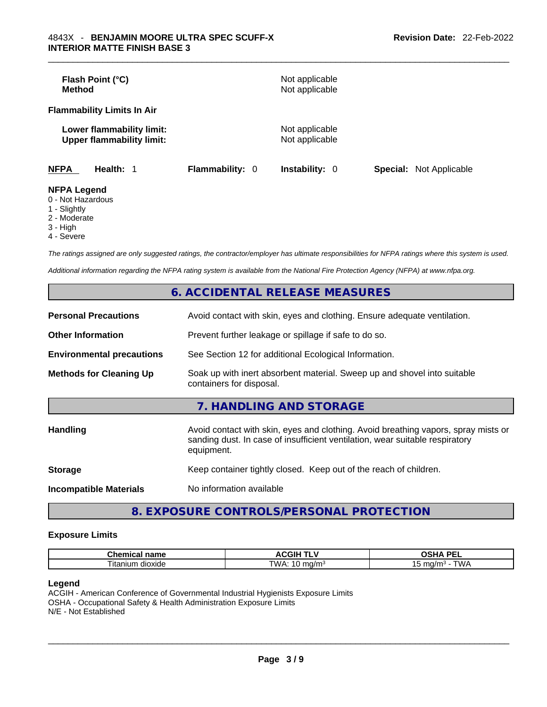| <b>Method</b>                         | Flash Point (°C)                                              |                 | Not applicable<br>Not applicable |                                |
|---------------------------------------|---------------------------------------------------------------|-----------------|----------------------------------|--------------------------------|
|                                       | <b>Flammability Limits In Air</b>                             |                 |                                  |                                |
|                                       | Lower flammability limit:<br><b>Upper flammability limit:</b> |                 | Not applicable<br>Not applicable |                                |
| <b>NFPA</b>                           | Health: 1                                                     | Flammability: 0 | <b>Instability: 0</b>            | <b>Special:</b> Not Applicable |
| <b>NFPA Legend</b><br>0 Not Hozordoug |                                                               |                 |                                  |                                |

- 0 Not Hazardous
- 1 Slightly
- 2 Moderate
- 3 High
- 4 Severe

*The ratings assigned are only suggested ratings, the contractor/employer has ultimate responsibilities for NFPA ratings where this system is used.* 

*Additional information regarding the NFPA rating system is available from the National Fire Protection Agency (NFPA) at www.nfpa.org.* 

|                                  | <b>6. ACCIDENTAL RELEASE MEASURES</b>                                                                                                                                            |
|----------------------------------|----------------------------------------------------------------------------------------------------------------------------------------------------------------------------------|
| <b>Personal Precautions</b>      | Avoid contact with skin, eyes and clothing. Ensure adequate ventilation.                                                                                                         |
| <b>Other Information</b>         | Prevent further leakage or spillage if safe to do so.                                                                                                                            |
| <b>Environmental precautions</b> | See Section 12 for additional Ecological Information.                                                                                                                            |
| <b>Methods for Cleaning Up</b>   | Soak up with inert absorbent material. Sweep up and shovel into suitable<br>containers for disposal.                                                                             |
|                                  | 7. HANDLING AND STORAGE                                                                                                                                                          |
| <b>Handling</b>                  | Avoid contact with skin, eyes and clothing. Avoid breathing vapors, spray mists or<br>sanding dust. In case of insufficient ventilation, wear suitable respiratory<br>equipment. |
| <b>Storage</b>                   | Keep container tightly closed. Keep out of the reach of children.                                                                                                                |
| <b>Incompatible Materials</b>    | No information available                                                                                                                                                         |
|                                  |                                                                                                                                                                                  |

# **8. EXPOSURE CONTROLS/PERSONAL PROTECTION**

#### **Exposure Limits**

| $  -$<br>------<br>шьаг<br>панк                   | . .                | <b>DEI</b><br>$\mathbf{r}$<br>-- |
|---------------------------------------------------|--------------------|----------------------------------|
| --<br>∣ita<br>$\sim$<br>≧dioxide ^<br>יי<br>,,,,, | TWA.<br>171<br>. . | ' WL                             |

#### **Legend**

ACGIH - American Conference of Governmental Industrial Hygienists Exposure Limits OSHA - Occupational Safety & Health Administration Exposure Limits N/E - Not Established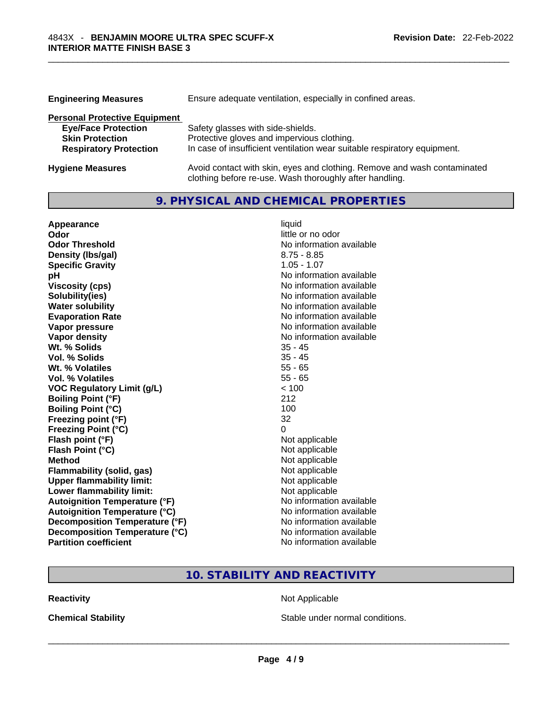| <b>Engineering Measures</b>          | Ensure adequate ventilation, especially in confined areas.                                                                          |  |  |
|--------------------------------------|-------------------------------------------------------------------------------------------------------------------------------------|--|--|
| <b>Personal Protective Equipment</b> |                                                                                                                                     |  |  |
| <b>Eye/Face Protection</b>           | Safety glasses with side-shields.                                                                                                   |  |  |
| <b>Skin Protection</b>               | Protective gloves and impervious clothing.                                                                                          |  |  |
| <b>Respiratory Protection</b>        | In case of insufficient ventilation wear suitable respiratory equipment.                                                            |  |  |
| <b>Hygiene Measures</b>              | Avoid contact with skin, eyes and clothing. Remove and wash contaminated<br>clothing before re-use. Wash thoroughly after handling. |  |  |

### **9. PHYSICAL AND CHEMICAL PROPERTIES**

| Appearance                           | liquid                   |
|--------------------------------------|--------------------------|
| Odor                                 | little or no odor        |
| <b>Odor Threshold</b>                | No information available |
| Density (Ibs/gal)                    | $8.75 - 8.85$            |
| <b>Specific Gravity</b>              | $1.05 - 1.07$            |
| рH                                   | No information available |
| <b>Viscosity (cps)</b>               | No information available |
| Solubility(ies)                      | No information available |
| <b>Water solubility</b>              | No information available |
| <b>Evaporation Rate</b>              | No information available |
| Vapor pressure                       | No information available |
| <b>Vapor density</b>                 | No information available |
| Wt. % Solids                         | $35 - 45$                |
| Vol. % Solids                        | $35 - 45$                |
| Wt. % Volatiles                      | $55 - 65$                |
| Vol. % Volatiles                     | $55 - 65$                |
| <b>VOC Regulatory Limit (g/L)</b>    | < 100                    |
| <b>Boiling Point (°F)</b>            | 212                      |
| <b>Boiling Point (°C)</b>            | 100                      |
| Freezing point (°F)                  | 32                       |
| <b>Freezing Point (°C)</b>           | 0                        |
| Flash point (°F)                     | Not applicable           |
| Flash Point (°C)                     | Not applicable           |
| <b>Method</b>                        | Not applicable           |
| <b>Flammability (solid, gas)</b>     | Not applicable           |
| <b>Upper flammability limit:</b>     | Not applicable           |
| Lower flammability limit:            | Not applicable           |
| <b>Autoignition Temperature (°F)</b> | No information available |
| <b>Autoignition Temperature (°C)</b> | No information available |
| Decomposition Temperature (°F)       | No information available |
| Decomposition Temperature (°C)       | No information available |
| <b>Partition coefficient</b>         | No information available |

## **10. STABILITY AND REACTIVITY**

**Reactivity Not Applicable Not Applicable** 

**Chemical Stability Stable under normal conditions.** Stable under normal conditions.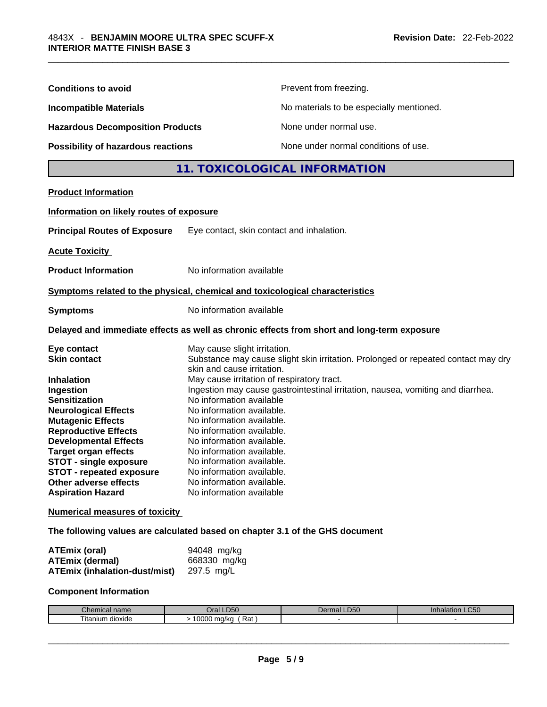| <b>Conditions to avoid</b>                                                                                                                                                                                                                                                                                                                                                     | Prevent from freezing.                                                                                                                                                                                                                                                                                                                                                                                                                                                                                                                                                           |
|--------------------------------------------------------------------------------------------------------------------------------------------------------------------------------------------------------------------------------------------------------------------------------------------------------------------------------------------------------------------------------|----------------------------------------------------------------------------------------------------------------------------------------------------------------------------------------------------------------------------------------------------------------------------------------------------------------------------------------------------------------------------------------------------------------------------------------------------------------------------------------------------------------------------------------------------------------------------------|
| <b>Incompatible Materials</b>                                                                                                                                                                                                                                                                                                                                                  | No materials to be especially mentioned.                                                                                                                                                                                                                                                                                                                                                                                                                                                                                                                                         |
| <b>Hazardous Decomposition Products</b>                                                                                                                                                                                                                                                                                                                                        | None under normal use.                                                                                                                                                                                                                                                                                                                                                                                                                                                                                                                                                           |
| Possibility of hazardous reactions                                                                                                                                                                                                                                                                                                                                             | None under normal conditions of use.                                                                                                                                                                                                                                                                                                                                                                                                                                                                                                                                             |
|                                                                                                                                                                                                                                                                                                                                                                                | 11. TOXICOLOGICAL INFORMATION                                                                                                                                                                                                                                                                                                                                                                                                                                                                                                                                                    |
| <b>Product Information</b>                                                                                                                                                                                                                                                                                                                                                     |                                                                                                                                                                                                                                                                                                                                                                                                                                                                                                                                                                                  |
| Information on likely routes of exposure                                                                                                                                                                                                                                                                                                                                       |                                                                                                                                                                                                                                                                                                                                                                                                                                                                                                                                                                                  |
| <b>Principal Routes of Exposure</b>                                                                                                                                                                                                                                                                                                                                            | Eye contact, skin contact and inhalation.                                                                                                                                                                                                                                                                                                                                                                                                                                                                                                                                        |
| <b>Acute Toxicity</b>                                                                                                                                                                                                                                                                                                                                                          |                                                                                                                                                                                                                                                                                                                                                                                                                                                                                                                                                                                  |
| <b>Product Information</b>                                                                                                                                                                                                                                                                                                                                                     | No information available                                                                                                                                                                                                                                                                                                                                                                                                                                                                                                                                                         |
|                                                                                                                                                                                                                                                                                                                                                                                | Symptoms related to the physical, chemical and toxicological characteristics                                                                                                                                                                                                                                                                                                                                                                                                                                                                                                     |
| <b>Symptoms</b>                                                                                                                                                                                                                                                                                                                                                                | No information available                                                                                                                                                                                                                                                                                                                                                                                                                                                                                                                                                         |
|                                                                                                                                                                                                                                                                                                                                                                                | Delayed and immediate effects as well as chronic effects from short and long-term exposure                                                                                                                                                                                                                                                                                                                                                                                                                                                                                       |
| Eye contact<br><b>Skin contact</b><br><b>Inhalation</b><br>Ingestion<br><b>Sensitization</b><br><b>Neurological Effects</b><br><b>Mutagenic Effects</b><br><b>Reproductive Effects</b><br><b>Developmental Effects</b><br><b>Target organ effects</b><br><b>STOT - single exposure</b><br><b>STOT - repeated exposure</b><br>Other adverse effects<br><b>Aspiration Hazard</b> | May cause slight irritation.<br>Substance may cause slight skin irritation. Prolonged or repeated contact may dry<br>skin and cause irritation.<br>May cause irritation of respiratory tract.<br>Ingestion may cause gastrointestinal irritation, nausea, vomiting and diarrhea.<br>No information available<br>No information available.<br>No information available.<br>No information available.<br>No information available.<br>No information available.<br>No information available.<br>No information available.<br>No information available.<br>No information available |
| <b>Numerical measures of toxicity</b>                                                                                                                                                                                                                                                                                                                                          |                                                                                                                                                                                                                                                                                                                                                                                                                                                                                                                                                                                  |
|                                                                                                                                                                                                                                                                                                                                                                                | The following values are calculated based on chapter 3.1 of the GHS document                                                                                                                                                                                                                                                                                                                                                                                                                                                                                                     |
| <b>ATEmix (oral)</b><br><b>ATEmix (dermal)</b><br><b>ATEmix (inhalation-dust/mist)</b>                                                                                                                                                                                                                                                                                         | 94048 mg/kg<br>668330 mg/kg<br>297.5 mg/L                                                                                                                                                                                                                                                                                                                                                                                                                                                                                                                                        |
| <b>Component Information</b>                                                                                                                                                                                                                                                                                                                                                   |                                                                                                                                                                                                                                                                                                                                                                                                                                                                                                                                                                                  |
|                                                                                                                                                                                                                                                                                                                                                                                |                                                                                                                                                                                                                                                                                                                                                                                                                                                                                                                                                                                  |

| :her<br>mical name        | <b>LD50</b><br>⊃ral           | DFC<br>Oer<br>тmа.<br>⊶<br>- 177 | $\sim$ $\sim$ $\sim$<br>ınnaıat<br>tion LU50 |
|---------------------------|-------------------------------|----------------------------------|----------------------------------------------|
| --<br>⊺ıtanıum<br>dioxide | 0.000<br>Rat<br>ma/ka<br>UUUU |                                  |                                              |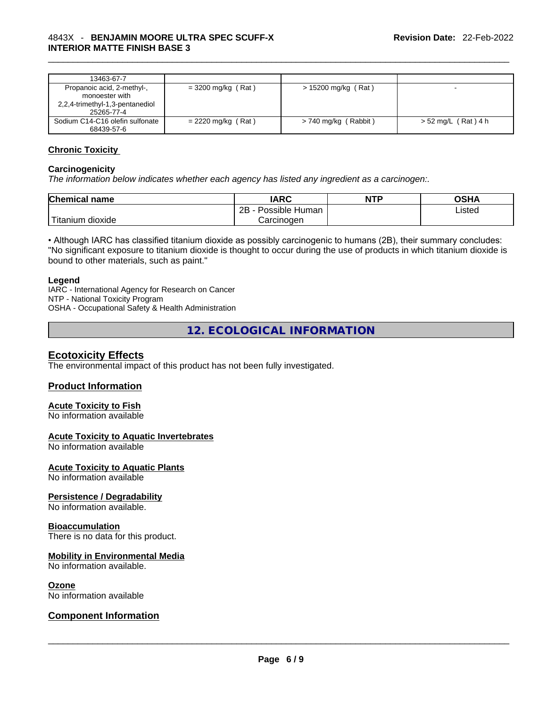| 13463-67-7                                                                                    |                      |                        |                       |
|-----------------------------------------------------------------------------------------------|----------------------|------------------------|-----------------------|
| Propanoic acid, 2-methyl-,<br>monoester with<br>2,2,4-trimethyl-1,3-pentanediol<br>25265-77-4 | $= 3200$ mg/kg (Rat) | > 15200 mg/kg (Rat)    | $\sim$                |
| Sodium C14-C16 olefin sulfonate<br>68439-57-6                                                 | $= 2220$ mg/kg (Rat) | $> 740$ mg/kg (Rabbit) | $> 52$ mg/L (Rat) 4 h |

#### **Chronic Toxicity**

#### **Carcinogenicity**

*The information below indicates whether each agency has listed any ingredient as a carcinogen:.* 

| <b>Chemical name</b>   | IARC                 | <b>NTP</b> | OSHA   |
|------------------------|----------------------|------------|--------|
|                        | 2B<br>Possible Human |            | ∟isted |
| `Titanium 、<br>dioxide | Carcinoɑen           |            |        |

• Although IARC has classified titanium dioxide as possibly carcinogenic to humans (2B), their summary concludes: "No significant exposure to titanium dioxide is thought to occur during the use of products in which titanium dioxide is bound to other materials, such as paint."

#### **Legend**

IARC - International Agency for Research on Cancer NTP - National Toxicity Program OSHA - Occupational Safety & Health Administration

**12. ECOLOGICAL INFORMATION** 

### **Ecotoxicity Effects**

The environmental impact of this product has not been fully investigated.

#### **Product Information**

#### **Acute Toxicity to Fish**

No information available

#### **Acute Toxicity to Aquatic Invertebrates**

No information available

#### **Acute Toxicity to Aquatic Plants**

No information available

#### **Persistence / Degradability**

No information available.

#### **Bioaccumulation**

There is no data for this product.

#### **Mobility in Environmental Media**

No information available.

**Ozone**<br>No information available

# No information available \_\_\_\_\_\_\_\_\_\_\_\_\_\_\_\_\_\_\_\_\_\_\_\_\_\_\_\_\_\_\_\_\_\_\_\_\_\_\_\_\_\_\_\_\_\_\_\_\_\_\_\_\_\_\_\_\_\_\_\_\_\_\_\_\_\_\_\_\_\_\_\_\_\_\_\_\_\_\_\_\_\_\_\_\_\_\_\_\_\_\_\_\_ **Component Information**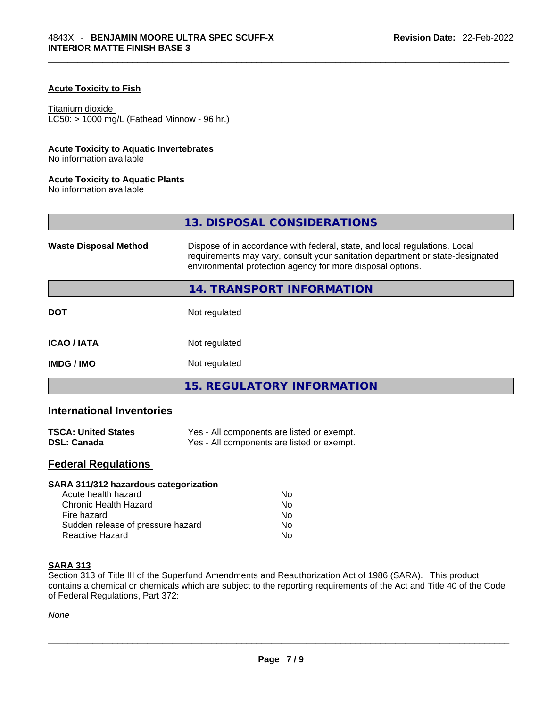#### **Acute Toxicity to Fish**

#### Titanium dioxide

 $LC50: > 1000$  mg/L (Fathead Minnow - 96 hr.)

#### **Acute Toxicity to Aquatic Invertebrates**

No information available

#### **Acute Toxicity to Aquatic Plants**

No information available

|                              | 13. DISPOSAL CONSIDERATIONS                                                                                                                                                                                               |  |
|------------------------------|---------------------------------------------------------------------------------------------------------------------------------------------------------------------------------------------------------------------------|--|
| <b>Waste Disposal Method</b> | Dispose of in accordance with federal, state, and local regulations. Local<br>requirements may vary, consult your sanitation department or state-designated<br>environmental protection agency for more disposal options. |  |
|                              | 14. TRANSPORT INFORMATION                                                                                                                                                                                                 |  |
| <b>DOT</b>                   | Not regulated                                                                                                                                                                                                             |  |
| <b>ICAO/IATA</b>             | Not regulated                                                                                                                                                                                                             |  |
| <b>IMDG/IMO</b>              | Not regulated                                                                                                                                                                                                             |  |
|                              | <b>15. REGULATORY INFORMATION</b>                                                                                                                                                                                         |  |

#### **International Inventories**

| <b>TSCA: United States</b> | Yes - All components are listed or exempt. |
|----------------------------|--------------------------------------------|
| <b>DSL: Canada</b>         | Yes - All components are listed or exempt. |

# **Federal Regulations**

| SARA 311/312 hazardous categorization |    |  |
|---------------------------------------|----|--|
| Acute health hazard                   | No |  |
| Chronic Health Hazard                 | No |  |
| Fire hazard                           | No |  |
| Sudden release of pressure hazard     | No |  |
| Reactive Hazard                       | No |  |

#### **SARA 313**

Section 313 of Title III of the Superfund Amendments and Reauthorization Act of 1986 (SARA). This product contains a chemical or chemicals which are subject to the reporting requirements of the Act and Title 40 of the Code of Federal Regulations, Part 372: \_\_\_\_\_\_\_\_\_\_\_\_\_\_\_\_\_\_\_\_\_\_\_\_\_\_\_\_\_\_\_\_\_\_\_\_\_\_\_\_\_\_\_\_\_\_\_\_\_\_\_\_\_\_\_\_\_\_\_\_\_\_\_\_\_\_\_\_\_\_\_\_\_\_\_\_\_\_\_\_\_\_\_\_\_\_\_\_\_\_\_\_\_

*None*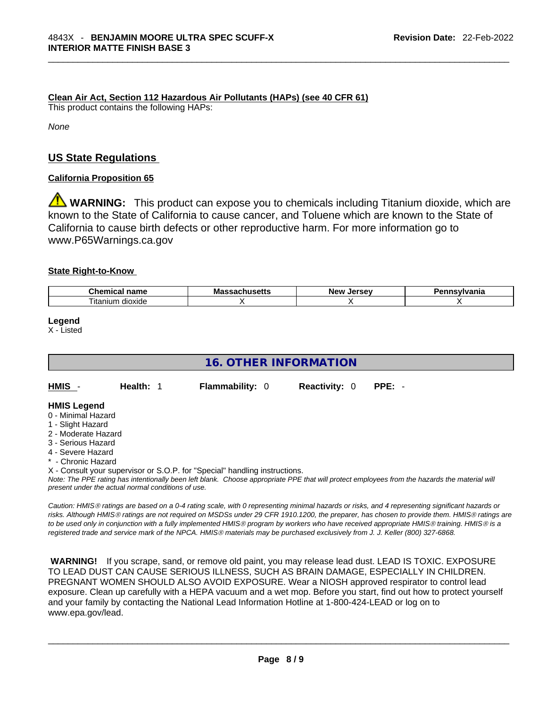**Clean Air Act,Section 112 Hazardous Air Pollutants (HAPs) (see 40 CFR 61)**

This product contains the following HAPs:

*None*

## **US State Regulations**

### **California Proposition 65**

**WARNING:** This product can expose you to chemicals including Titanium dioxide, which are known to the State of California to cause cancer, and Toluene which are known to the State of California to cause birth defects or other reproductive harm. For more information go to www.P65Warnings.ca.gov

#### **State Right-to-Know**

| $\sim$<br>--<br>. . m<br>.<br>чанк  | M | -------<br><b>Nev</b><br>Ωי | .<br>нс |
|-------------------------------------|---|-----------------------------|---------|
| $- \cdot$ .<br>dioxide<br>. itanıum |   |                             |         |

**Legend**

X - Listed

| <b>16. OTHER INFORMATION</b>                                                                                                                                                                                                                                                                                                                                                         |                        |                      |          |  |
|--------------------------------------------------------------------------------------------------------------------------------------------------------------------------------------------------------------------------------------------------------------------------------------------------------------------------------------------------------------------------------------|------------------------|----------------------|----------|--|
| HMIS -<br>Health: 1                                                                                                                                                                                                                                                                                                                                                                  | <b>Flammability: 0</b> | <b>Reactivity: 0</b> | $PPE: -$ |  |
| <b>HMIS Legend</b><br>0 - Minimal Hazard<br>1 - Slight Hazard<br>2 - Moderate Hazard<br>3 - Serious Hazard<br>4 - Severe Hazard<br>* - Chronic Hazard<br>X - Consult your supervisor or S.O.P. for "Special" handling instructions.<br>Note: The PPE rating has intentionally been left blank. Choose appropriate PPE that will protect employees from the hazards the material will |                        |                      |          |  |

*Caution: HMISÒ ratings are based on a 0-4 rating scale, with 0 representing minimal hazards or risks, and 4 representing significant hazards or risks. Although HMISÒ ratings are not required on MSDSs under 29 CFR 1910.1200, the preparer, has chosen to provide them. HMISÒ ratings are to be used only in conjunction with a fully implemented HMISÒ program by workers who have received appropriate HMISÒ training. HMISÒ is a registered trade and service mark of the NPCA. HMISÒ materials may be purchased exclusively from J. J. Keller (800) 327-6868.* 

 **WARNING!** If you scrape, sand, or remove old paint, you may release lead dust. LEAD IS TOXIC. EXPOSURE TO LEAD DUST CAN CAUSE SERIOUS ILLNESS, SUCH AS BRAIN DAMAGE, ESPECIALLY IN CHILDREN. PREGNANT WOMEN SHOULD ALSO AVOID EXPOSURE.Wear a NIOSH approved respirator to control lead exposure. Clean up carefully with a HEPA vacuum and a wet mop. Before you start, find out how to protect yourself and your family by contacting the National Lead Information Hotline at 1-800-424-LEAD or log on to www.epa.gov/lead.